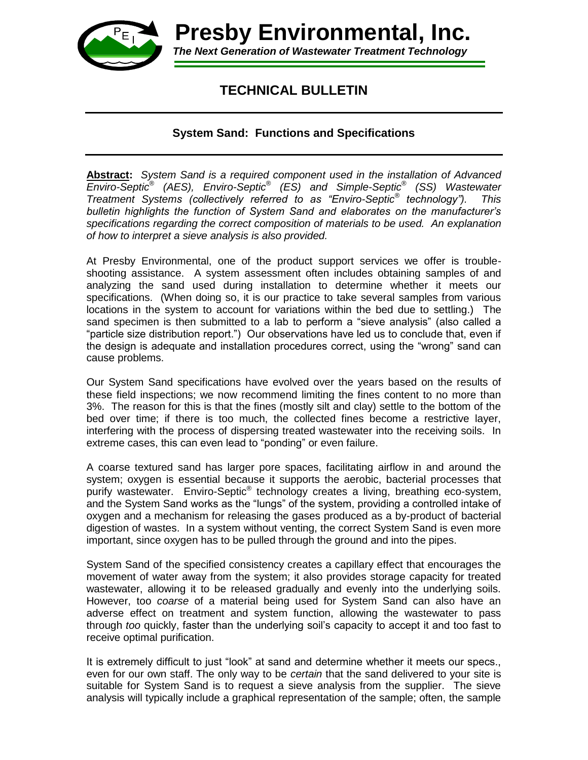

*The Next Generation of Wastewater Treatment Technology* **Presby Environmental, Inc.** 

## **TECHNICAL BULLETIN**

## **System Sand: Functions and Specifications**

**Abstract:** *System Sand is a required component used in the installation of Advanced Enviro-Septic*® *(AES), Enviro-Septic*® *(ES) and Simple-Septic*® *(SS) Wastewater Treatment Systems (collectively referred to as "Enviro-Septic® technology"). This bulletin highlights the function of System Sand and elaborates on the manufacturer's specifications regarding the correct composition of materials to be used. An explanation of how to interpret a sieve analysis is also provided.* 

At Presby Environmental, one of the product support services we offer is troubleshooting assistance. A system assessment often includes obtaining samples of and analyzing the sand used during installation to determine whether it meets our specifications. (When doing so, it is our practice to take several samples from various locations in the system to account for variations within the bed due to settling.) The sand specimen is then submitted to a lab to perform a "sieve analysis" (also called a "particle size distribution report.") Our observations have led us to conclude that, even if the design is adequate and installation procedures correct, using the "wrong" sand can cause problems.

Our System Sand specifications have evolved over the years based on the results of these field inspections; we now recommend limiting the fines content to no more than 3%. The reason for this is that the fines (mostly silt and clay) settle to the bottom of the bed over time; if there is too much, the collected fines become a restrictive layer, interfering with the process of dispersing treated wastewater into the receiving soils. In extreme cases, this can even lead to "ponding" or even failure.

A coarse textured sand has larger pore spaces, facilitating airflow in and around the system; oxygen is essential because it supports the aerobic, bacterial processes that purify wastewater. Enviro-Septic<sup>®</sup> technology creates a living, breathing eco-system, and the System Sand works as the "lungs" of the system, providing a controlled intake of oxygen and a mechanism for releasing the gases produced as a by-product of bacterial digestion of wastes. In a system without venting, the correct System Sand is even more important, since oxygen has to be pulled through the ground and into the pipes.

System Sand of the specified consistency creates a capillary effect that encourages the movement of water away from the system; it also provides storage capacity for treated wastewater, allowing it to be released gradually and evenly into the underlying soils. However, too *coarse* of a material being used for System Sand can also have an adverse effect on treatment and system function, allowing the wastewater to pass through *too* quickly, faster than the underlying soil's capacity to accept it and too fast to receive optimal purification.

It is extremely difficult to just "look" at sand and determine whether it meets our specs., even for our own staff. The only way to be *certain* that the sand delivered to your site is suitable for System Sand is to request a sieve analysis from the supplier. The sieve analysis will typically include a graphical representation of the sample; often, the sample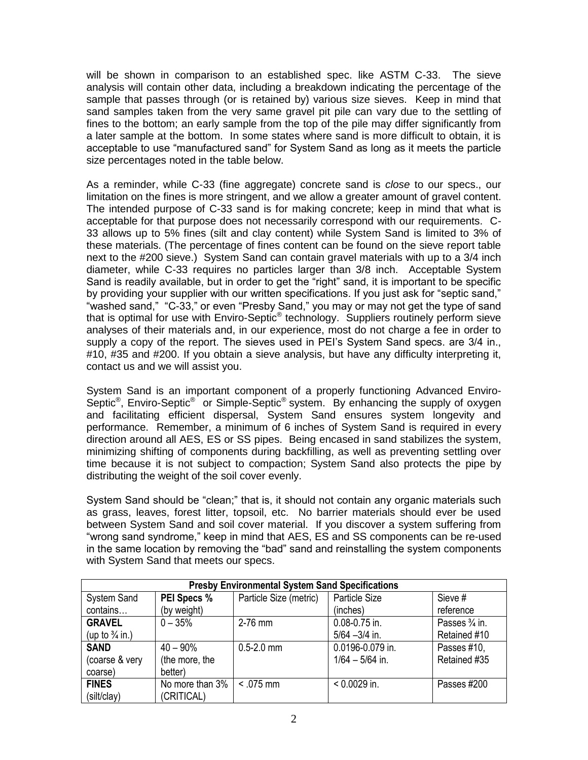will be shown in comparison to an established spec. like ASTM C-33. The sieve analysis will contain other data, including a breakdown indicating the percentage of the sample that passes through (or is retained by) various size sieves. Keep in mind that sand samples taken from the very same gravel pit pile can vary due to the settling of fines to the bottom; an early sample from the top of the pile may differ significantly from a later sample at the bottom. In some states where sand is more difficult to obtain, it is acceptable to use "manufactured sand" for System Sand as long as it meets the particle size percentages noted in the table below.

As a reminder, while C-33 (fine aggregate) concrete sand is *close* to our specs., our limitation on the fines is more stringent, and we allow a greater amount of gravel content. The intended purpose of C-33 sand is for making concrete; keep in mind that what is acceptable for that purpose does not necessarily correspond with our requirements. C-33 allows up to 5% fines (silt and clay content) while System Sand is limited to 3% of these materials. (The percentage of fines content can be found on the sieve report table next to the #200 sieve.) System Sand can contain gravel materials with up to a 3/4 inch diameter, while C-33 requires no particles larger than 3/8 inch. Acceptable System Sand is readily available, but in order to get the "right" sand, it is important to be specific by providing your supplier with our written specifications. If you just ask for "septic sand," "washed sand," "C-33," or even "Presby Sand," you may or may not get the type of sand that is optimal for use with Enviro-Septic<sup>®</sup> technology. Suppliers routinely perform sieve analyses of their materials and, in our experience, most do not charge a fee in order to supply a copy of the report. The sieves used in PEI's System Sand specs. are 3/4 in., #10, #35 and #200. If you obtain a sieve analysis, but have any difficulty interpreting it, contact us and we will assist you.

System Sand is an important component of a properly functioning Advanced Enviro-Septic<sup>®</sup>, Enviro-Septic<sup>®</sup> or Simple-Septic<sup>®</sup> system. By enhancing the supply of oxygen and facilitating efficient dispersal, System Sand ensures system longevity and performance. Remember, a minimum of 6 inches of System Sand is required in every direction around all AES, ES or SS pipes. Being encased in sand stabilizes the system, minimizing shifting of components during backfilling, as well as preventing settling over time because it is not subject to compaction; System Sand also protects the pipe by distributing the weight of the soil cover evenly.

System Sand should be "clean;" that is, it should not contain any organic materials such as grass, leaves, forest litter, topsoil, etc. No barrier materials should ever be used between System Sand and soil cover material. If you discover a system suffering from "wrong sand syndrome," keep in mind that AES, ES and SS components can be re-used in the same location by removing the "bad" sand and reinstalling the system components with System Sand that meets our specs.

| <b>Presby Environmental System Sand Specifications</b> |                    |                        |                   |                |
|--------------------------------------------------------|--------------------|------------------------|-------------------|----------------|
| <b>System Sand</b>                                     | <b>PEI Specs %</b> | Particle Size (metric) | Particle Size     | Sieve #        |
| contains                                               | (by weight)        |                        | (inches)          | reference      |
| <b>GRAVEL</b>                                          | $0 - 35%$          | $2-76$ mm              | 0.08-0.75 in.     | Passes 3/4 in. |
| (up to $\frac{3}{4}$ in.)                              |                    |                        | $5/64 - 3/4$ in.  | Retained #10   |
| <b>SAND</b>                                            | $40 - 90\%$        | $0.5 - 2.0$ mm         | 0.0196-0.079 in.  | Passes #10,    |
| (coarse & very                                         | (the more, the     |                        | $1/64 - 5/64$ in. | Retained #35   |
| coarse)                                                | better)            |                        |                   |                |
| <b>FINES</b>                                           | No more than 3%    | $< .075$ mm            | $< 0.0029$ in.    | Passes #200    |
| (silt/clay)                                            | (CRITICAL)         |                        |                   |                |